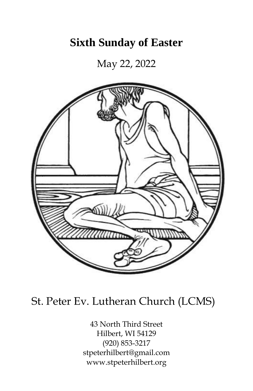## **Sixth Sunday of Easter**

May 22, 2022



# St. Peter Ev. Lutheran Church (LCMS)

43 North Third Street Hilbert, WI 54129 (920) 853-3217 stpeterhilbert@gmail.com www.stpeterhilbert.org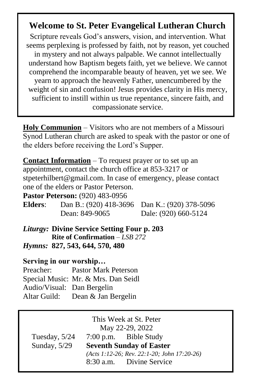## **Welcome to St. Peter Evangelical Lutheran Church**

Scripture reveals God's answers, vision, and intervention. What seems perplexing is professed by faith, not by reason, yet couched in mystery and not always palpable. We cannot intellectually understand how Baptism begets faith, yet we believe. We cannot comprehend the incomparable beauty of heaven, yet we see. We yearn to approach the heavenly Father, unencumbered by the weight of sin and confusion! Jesus provides clarity in His mercy, sufficient to instill within us true repentance, sincere faith, and compassionate service.

**Holy Communion** – Visitors who are not members of a Missouri Synod Lutheran church are asked to speak with the pastor or one of the elders before receiving the Lord's Supper.

| <b>Contact Information</b> – To request prayer or to set up an                                                          |                        |
|-------------------------------------------------------------------------------------------------------------------------|------------------------|
| appointment, contact the church office at 853-3217 or                                                                   |                        |
| stpeterhilbert@gmail.com. In case of emergency, please contact                                                          |                        |
| one of the elders or Pastor Peterson.                                                                                   |                        |
| <b>Pastor Peterson:</b> (920) 483-0956                                                                                  |                        |
| <b>Elders:</b> Dan B.: (920) 418-3696                                                                                   | Dan K.: (920) 378-5096 |
| Dean: 849-9065                                                                                                          | Dale: (920) 660-5124   |
| <i>Liturgy:</i> Divine Service Setting Four p. 203<br>Rite of Confirmation $-LSB$ 272<br>Hymns: 827, 543, 644, 570, 480 |                        |

### **Serving in our worship…**

| Preacher:                  | <b>Pastor Mark Peterson</b>         |
|----------------------------|-------------------------------------|
|                            | Special Music: Mr. & Mrs. Dan Seidl |
| Audio/Visual: Dan Bergelin |                                     |
|                            | Altar Guild: Dean & Jan Bergelin    |

| This Week at St. Peter<br>May 22-29, 2022                                                        |  |                          |  |  |
|--------------------------------------------------------------------------------------------------|--|--------------------------|--|--|
| Tuesday, $5/24$                                                                                  |  | 7:00 p.m. Bible Study    |  |  |
| Sunday, $5/29$<br><b>Seventh Sunday of Easter</b><br>(Acts 1:12-26; Rev. 22:1-20; John 17:20-26) |  |                          |  |  |
|                                                                                                  |  |                          |  |  |
|                                                                                                  |  | 8:30 a.m. Divine Service |  |  |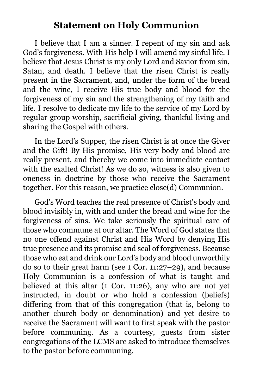### **Statement on Holy Communion**

I believe that I am a sinner. I repent of my sin and ask God's forgiveness. With His help I will amend my sinful life. I believe that Jesus Christ is my only Lord and Savior from sin, Satan, and death. I believe that the risen Christ is really present in the Sacrament, and, under the form of the bread and the wine, I receive His true body and blood for the forgiveness of my sin and the strengthening of my faith and life. I resolve to dedicate my life to the service of my Lord by regular group worship, sacrificial giving, thankful living and sharing the Gospel with others.

In the Lord's Supper, the risen Christ is at once the Giver and the Gift! By His promise, His very body and blood are really present, and thereby we come into immediate contact with the exalted Christ! As we do so, witness is also given to oneness in doctrine by those who receive the Sacrament together. For this reason, we practice close(d) Communion.

God's Word teaches the real presence of Christ's body and blood invisibly in, with and under the bread and wine for the forgiveness of sins. We take seriously the spiritual care of those who commune at our altar. The Word of God states that no one offend against Christ and His Word by denying His true presence and its promise and seal of forgiveness. Because those who eat and drink our Lord's body and blood unworthily do so to their great harm (see 1 Cor. 11:27–29), and because Holy Communion is a confession of what is taught and believed at this altar (1 Cor. 11:26), any who are not yet instructed, in doubt or who hold a confession (beliefs) differing from that of this congregation (that is, belong to another church body or denomination) and yet desire to receive the Sacrament will want to first speak with the pastor before communing. As a courtesy, guests from sister congregations of the LCMS are asked to introduce themselves to the pastor before communing.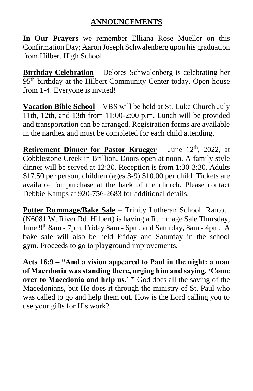**In Our Prayers** we remember Elliana Rose Mueller on this Confirmation Day; Aaron Joseph Schwalenberg upon his graduation from Hilbert High School.

**Birthday Celebration** – Delores Schwalenberg is celebrating her 95<sup>th</sup> birthday at the Hilbert Community Center today. Open house from 1-4. Everyone is invited!

**Vacation Bible School** – VBS will be held at St. Luke Church July 11th, 12th, and 13th from 11:00-2:00 p.m. Lunch will be provided and transportation can be arranged. Registration forms are available in the narthex and must be completed for each child attending.

**Retirement Dinner for Pastor Krueger** – June 12<sup>th</sup>, 2022, at Cobblestone Creek in Brillion. Doors open at noon. A family style dinner will be served at 12:30. Reception is from 1:30-3:30. Adults \$17.50 per person, children (ages 3-9) \$10.00 per child. Tickets are available for purchase at the back of the church. Please contact Debbie Kamps at 920-756-2683 for additional details.

**Potter Rummage/Bake Sale** – Trinity Lutheran School, Rantoul (N6081 W. River Rd, Hilbert) is having a Rummage Sale Thursday, June 9th 8am - 7pm, Friday 8am - 6pm, and Saturday, 8am - 4pm. A bake sale will also be held Friday and Saturday in the school gym. Proceeds to go to playground improvements.

**Acts 16:9 – "And a vision appeared to Paul in the night: a man of Macedonia was standing there, urging him and saying, 'Come over to Macedonia and help us.' "** God does all the saving of the Macedonians, but He does it through the ministry of St. Paul who was called to go and help them out. How is the Lord calling you to use your gifts for His work?